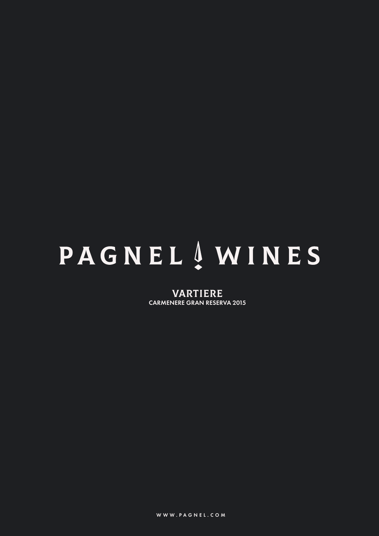# **PAGNEL** AWINES

VARTIERE CARMENERE GRAN RESERVA 2015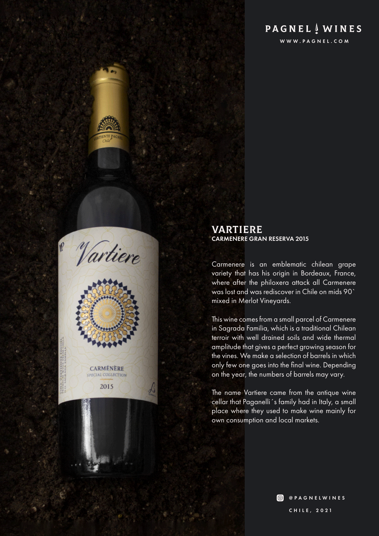# **PAGNEL**  $\frac{1}{2}$  WINES

WWW.PAGNEL.COM





#### VARTIERE CARMENERE GRAN RESERVA 2015

Carmenere is an emblematic chilean grape variety that has his origin in Bordeaux, France, where after the philoxera attack all Carmenere was lost and was rediscover in Chile on mids 90` mixed in Merlot Vineyards.

This wine comes from a small parcel of Carmenere in Sagrada Familia, which is a traditional Chilean terroir with well drained soils and wide thermal amplitude that gives a perfect growing season for the vines. We make a selection of barrels in which only few one goes into the final wine. Depending on the year, the numbers of barrels may vary.

The name Vartiere came from the antique wine cellar that Paganelli´s family had in Italy, a small place where they used to make wine mainly for own consumption and local markets.

> **O** @PAGNELWINES CHILE, 2021